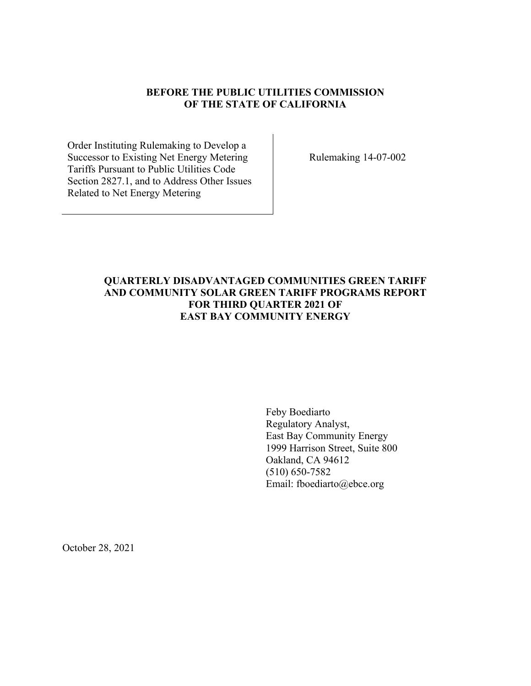### **BEFORE THE PUBLIC UTILITIES COMMISSION OF THE STATE OF CALIFORNIA**

Order Instituting Rulemaking to Develop a Successor to Existing Net Energy Metering Tariffs Pursuant to Public Utilities Code Section 2827.1, and to Address Other Issues Related to Net Energy Metering

Rulemaking 14-07-002

## **QUARTERLY DISADVANTAGED COMMUNITIES GREEN TARIFF AND COMMUNITY SOLAR GREEN TARIFF PROGRAMS REPORT FOR THIRD QUARTER 2021 OF EAST BAY COMMUNITY ENERGY**

Feby Boediarto Regulatory Analyst, East Bay Community Energy 1999 Harrison Street, Suite 800 Oakland, CA 94612 (510) 650-7582 Email: fboediarto@ebce.org

October 28, 2021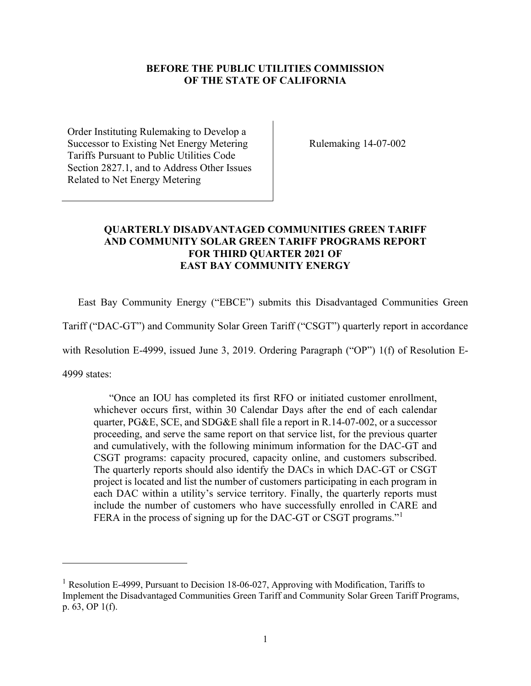### **BEFORE THE PUBLIC UTILITIES COMMISSION OF THE STATE OF CALIFORNIA**

Order Instituting Rulemaking to Develop a Successor to Existing Net Energy Metering Tariffs Pursuant to Public Utilities Code Section 2827.1, and to Address Other Issues Related to Net Energy Metering

Rulemaking 14-07-002

### **QUARTERLY DISADVANTAGED COMMUNITIES GREEN TARIFF AND COMMUNITY SOLAR GREEN TARIFF PROGRAMS REPORT FOR THIRD QUARTER 2021 OF EAST BAY COMMUNITY ENERGY**

East Bay Community Energy ("EBCE") submits this Disadvantaged Communities Green

Tariff ("DAC-GT") and Community Solar Green Tariff ("CSGT") quarterly report in accordance

with Resolution E-4999, issued June 3, 2019. Ordering Paragraph ("OP") 1(f) of Resolution E-

4999 states:

"Once an IOU has completed its first RFO or initiated customer enrollment, whichever occurs first, within 30 Calendar Days after the end of each calendar quarter, PG&E, SCE, and SDG&E shall file a report in R.14-07-002, or a successor proceeding, and serve the same report on that service list, for the previous quarter and cumulatively, with the following minimum information for the DAC-GT and CSGT programs: capacity procured, capacity online, and customers subscribed. The quarterly reports should also identify the DACs in which DAC-GT or CSGT project is located and list the number of customers participating in each program in each DAC within a utility's service territory. Finally, the quarterly reports must include the number of customers who have successfully enrolled in CARE and FERA in the process of signing up for the DAC-GT or CSGT programs."<sup>[1](#page-1-0)</sup>

<span id="page-1-0"></span><sup>&</sup>lt;sup>1</sup> Resolution E-4999, Pursuant to Decision 18-06-027, Approving with Modification, Tariffs to Implement the Disadvantaged Communities Green Tariff and Community Solar Green Tariff Programs, p. 63, OP 1(f).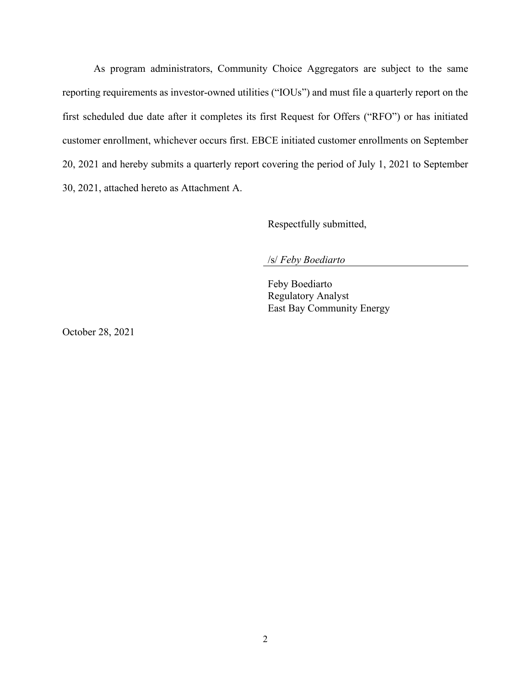As program administrators, Community Choice Aggregators are subject to the same reporting requirements as investor-owned utilities ("IOUs") and must file a quarterly report on the first scheduled due date after it completes its first Request for Offers ("RFO") or has initiated customer enrollment, whichever occurs first. EBCE initiated customer enrollments on September 20, 2021 and hereby submits a quarterly report covering the period of July 1, 2021 to September 30, 2021, attached hereto as Attachment A.

Respectfully submitted,

/s/ *Feby Boediarto*

Feby Boediarto Regulatory Analyst East Bay Community Energy

October 28, 2021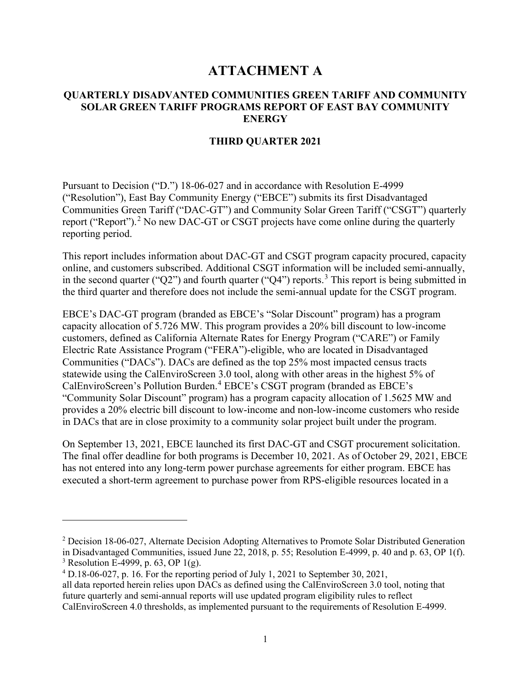# **ATTACHMENT A**

### **QUARTERLY DISADVANTED COMMUNITIES GREEN TARIFF AND COMMUNITY SOLAR GREEN TARIFF PROGRAMS REPORT OF EAST BAY COMMUNITY ENERGY**

#### **THIRD QUARTER 2021**

Pursuant to Decision ("D.") 18-06-027 and in accordance with Resolution E-4999 ("Resolution"), East Bay Community Energy ("EBCE") submits its first Disadvantaged Communities Green Tariff ("DAC-GT") and Community Solar Green Tariff ("CSGT") quarterly report ("Report").<sup>[2](#page-3-0)</sup> No new DAC-GT or CSGT projects have come online during the quarterly reporting period.

This report includes information about DAC-GT and CSGT program capacity procured, capacity online, and customers subscribed. Additional CSGT information will be included semi-annually, in the second quarter ("Q2") and fourth quarter ("Q4") reports.<sup>[3](#page-3-1)</sup> This report is being submitted in the third quarter and therefore does not include the semi-annual update for the CSGT program.

EBCE's DAC-GT program (branded as EBCE's "Solar Discount" program) has a program capacity allocation of 5.726 MW. This program provides a 20% bill discount to low-income customers, defined as California Alternate Rates for Energy Program ("CARE") or Family Electric Rate Assistance Program ("FERA")-eligible, who are located in Disadvantaged Communities ("DACs"). DACs are defined as the top 25% most impacted census tracts statewide using the CalEnviroScreen 3.0 tool, along with other areas in the highest 5% of CalEnviroScreen's Pollution Burden.[4](#page-3-2) EBCE's CSGT program (branded as EBCE's "Community Solar Discount" program) has a program capacity allocation of 1.5625 MW and provides a 20% electric bill discount to low-income and non-low-income customers who reside in DACs that are in close proximity to a community solar project built under the program.

On September 13, 2021, EBCE launched its first DAC-GT and CSGT procurement solicitation. The final offer deadline for both programs is December 10, 2021. As of October 29, 2021, EBCE has not entered into any long-term power purchase agreements for either program. EBCE has executed a short-term agreement to purchase power from RPS-eligible resources located in a

<span id="page-3-0"></span><sup>&</sup>lt;sup>2</sup> Decision 18-06-027, Alternate Decision Adopting Alternatives to Promote Solar Distributed Generation in Disadvantaged Communities, issued June 22, 2018, p. 55; Resolution E-4999, p. 40 and p. 63, OP 1(f). <sup>3</sup> Resolution E-4999, p. 63, OP 1(g).

<span id="page-3-2"></span><span id="page-3-1"></span> $4$  D.18-06-027, p. 16. For the reporting period of July 1, 2021 to September 30, 2021,

all data reported herein relies upon DACs as defined using the CalEnviroScreen 3.0 tool, noting that future quarterly and semi-annual reports will use updated program eligibility rules to reflect CalEnviroScreen 4.0 thresholds, as implemented pursuant to the requirements of Resolution E-4999.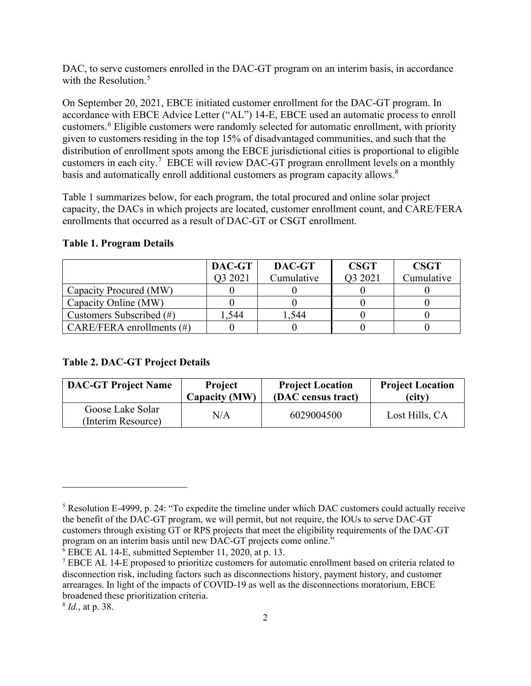DAC, to serve customers enrolled in the DAC-GT program on an interim basis, in accordance with the Resolution.<sup>[5](#page-4-0)</sup>

On September 20, 2021, EBCE initiated customer enrollment for the DAC-GT program. In accordance with EBCE Advice Letter ("AL") 14-E, EBCE used an automatic process to enroll customers.[6](#page-4-1) Eligible customers were randomly selected for automatic enrollment, with priority given to customers residing in the top 15% of disadvantaged communities, and such that the distribution of enrollment spots among the EBCE jurisdictional cities is proportional to eligible customers in each city.<sup>[7](#page-4-2)</sup> EBCE will review DAC-GT program enrollment levels on a monthly basis and automatically enroll additional customers as program capacity allows. $8$ 

Table 1 summarizes below, for each program, the total procured and online solar project capacity, the DACs in which projects are located, customer enrollment count, and CARE/FERA enrollments that occurred as a result of DAC-GT or CSGT enrollment.

|  | Table 1, 110gram Details |  |
|--|--------------------------|--|
|  |                          |  |
|  |                          |  |

**Table 1. Program Details** 

|                              | DAC-GT  | DAC-GT     | <b>CSGT</b> | <b>CSGT</b> |
|------------------------------|---------|------------|-------------|-------------|
|                              | 03 2021 | Cumulative | O3 2021     | Cumulative  |
| Capacity Procured (MW)       |         |            |             |             |
| Capacity Online (MW)         |         |            |             |             |
| Customers Subscribed (#)     | .544    | 1,544      |             |             |
| CARE/FERA enrollments $(\#)$ |         |            |             |             |

### **Table 2. DAC-GT Project Details**

| <b>DAC-GT Project Name</b>             | <b>Project</b> | <b>Project Location</b> | <b>Project Location</b> |
|----------------------------------------|----------------|-------------------------|-------------------------|
|                                        | Capacity (MW)  | (DAC census tract)      | (city)                  |
| Goose Lake Solar<br>(Interim Resource) | N/A            | 6029004500              | Lost Hills, CA          |

<span id="page-4-1"></span><sup>6</sup> EBCE AL 14-E, submitted September 11, 2020, at p. 13.

<span id="page-4-3"></span><sup>8</sup> *Id.*, at p. 38.

<span id="page-4-0"></span><sup>5</sup> Resolution E-4999, p. 24: "To expedite the timeline under which DAC customers could actually receive the benefit of the DAC-GT program, we will permit, but not require, the IOUs to serve DAC-GT customers through existing GT or RPS projects that meet the eligibility requirements of the DAC-GT program on an interim basis until new DAC-GT projects come online."

<span id="page-4-2"></span><sup>&</sup>lt;sup>7</sup> EBCE AL 14-E proposed to prioritize customers for automatic enrollment based on criteria related to disconnection risk, including factors such as disconnections history, payment history, and customer arrearages. In light of the impacts of COVID-19 as well as the disconnections moratorium, EBCE broadened these prioritization criteria.